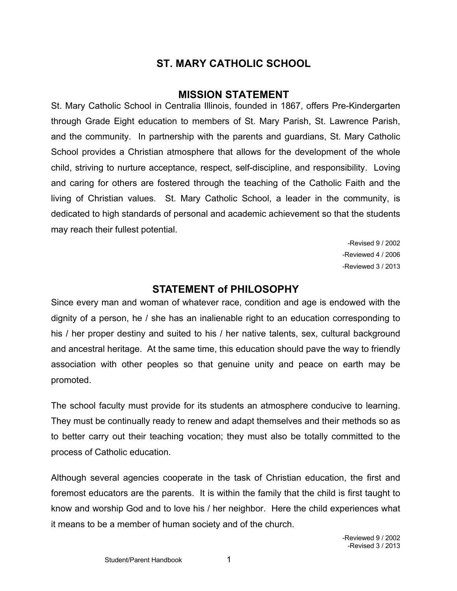# **ST. MARY CATHOLIC SCHOOL**

# **MISSION STATEMENT**

St. Mary Catholic School in Centralia Illinois, founded in 1867, offers Pre-Kindergarten through Grade Eight education to members of St. Mary Parish, St. Lawrence Parish, and the community. In partnership with the parents and guardians, St. Mary Catholic School provides a Christian atmosphere that allows for the development of the whole child, striving to nurture acceptance, respect, self-discipline, and responsibility. Loving and caring for others are fostered through the teaching of the Catholic Faith and the living of Christian values. St. Mary Catholic School, a leader in the community, is dedicated to high standards of personal and academic achievement so that the students may reach their fullest potential.

> -Revised 9 / 2002 -Reviewed 4 / 2006 -Reviewed 3 / 2013

# **STATEMENT of PHILOSOPHY**

Since every man and woman of whatever race, condition and age is endowed with the dignity of a person, he / she has an inalienable right to an education corresponding to his / her proper destiny and suited to his / her native talents, sex, cultural background and ancestral heritage. At the same time, this education should pave the way to friendly association with other peoples so that genuine unity and peace on earth may be promoted.

The school faculty must provide for its students an atmosphere conducive to learning. They must be continually ready to renew and adapt themselves and their methods so as to better carry out their teaching vocation; they must also be totally committed to the process of Catholic education.

Although several agencies cooperate in the task of Christian education, the first and foremost educators are the parents. It is within the family that the child is first taught to know and worship God and to love his / her neighbor. Here the child experiences what it means to be a member of human society and of the church.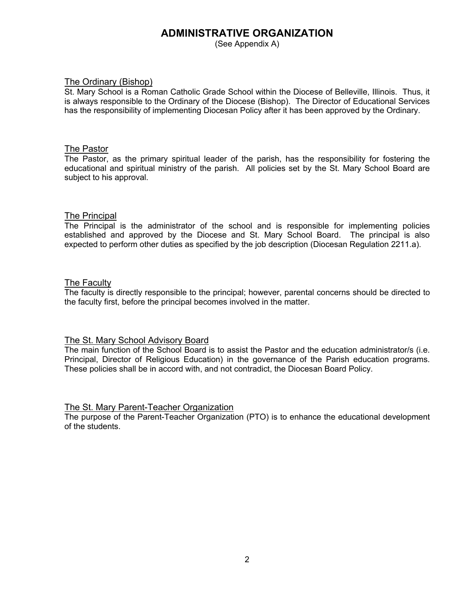# **ADMINISTRATIVE ORGANIZATION**

(See Appendix A)

#### The Ordinary (Bishop)

St. Mary School is a Roman Catholic Grade School within the Diocese of Belleville, Illinois. Thus, it is always responsible to the Ordinary of the Diocese (Bishop). The Director of Educational Services has the responsibility of implementing Diocesan Policy after it has been approved by the Ordinary.

#### The Pastor

The Pastor, as the primary spiritual leader of the parish, has the responsibility for fostering the educational and spiritual ministry of the parish. All policies set by the St. Mary School Board are subject to his approval.

#### The Principal

The Principal is the administrator of the school and is responsible for implementing policies established and approved by the Diocese and St. Mary School Board. The principal is also expected to perform other duties as specified by the job description (Diocesan Regulation 2211.a).

#### The Faculty

The faculty is directly responsible to the principal; however, parental concerns should be directed to the faculty first, before the principal becomes involved in the matter.

#### The St. Mary School Advisory Board

The main function of the School Board is to assist the Pastor and the education administrator/s (i.e. Principal, Director of Religious Education) in the governance of the Parish education programs. These policies shall be in accord with, and not contradict, the Diocesan Board Policy.

#### The St. Mary Parent-Teacher Organization

The purpose of the Parent-Teacher Organization (PTO) is to enhance the educational development of the students.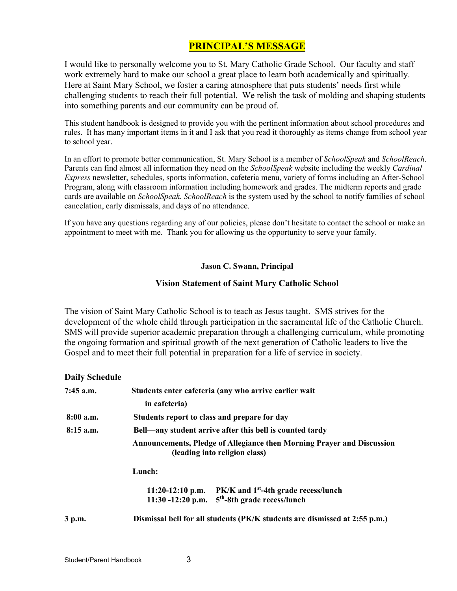# **PRINCIPAL'S MESSAGE**

I would like to personally welcome you to St. Mary Catholic Grade School. Our faculty and staff work extremely hard to make our school a great place to learn both academically and spiritually. Here at Saint Mary School, we foster a caring atmosphere that puts students' needs first while challenging students to reach their full potential. We relish the task of molding and shaping students into something parents and our community can be proud of.

This student handbook is designed to provide you with the pertinent information about school procedures and rules. It has many important items in it and I ask that you read it thoroughly as items change from school year to school year.

In an effort to promote better communication, St. Mary School is a member of *SchoolSpeak* and *SchoolReach*. Parents can find almost all information they need on the *SchoolSpeak* website including the weekly *Cardinal Express* newsletter, schedules, sports information, cafeteria menu, variety of forms including an After-School Program, along with classroom information including homework and grades. The midterm reports and grade cards are available on *SchoolSpeak. SchoolReach* is the system used by the school to notify families of school cancelation, early dismissals, and days of no attendance.

If you have any questions regarding any of our policies, please don't hesitate to contact the school or make an appointment to meet with me. Thank you for allowing us the opportunity to serve your family.

**Jason C. Swann, Principal**

#### **Vision Statement of Saint Mary Catholic School**

The vision of Saint Mary Catholic School is to teach as Jesus taught. SMS strives for the development of the whole child through participation in the sacramental life of the Catholic Church. SMS will provide superior academic preparation through a challenging curriculum, while promoting the ongoing formation and spiritual growth of the next generation of Catholic leaders to live the Gospel and to meet their full potential in preparation for a life of service in society.

#### **Daily Schedule**

| 7:45 a.m.   | Students enter cafeteria (any who arrive earlier wait                                                                             |  |  |  |
|-------------|-----------------------------------------------------------------------------------------------------------------------------------|--|--|--|
|             | in cafeteria)                                                                                                                     |  |  |  |
| 8:00a.m.    | Students report to class and prepare for day                                                                                      |  |  |  |
| $8:15$ a.m. | Bell—any student arrive after this bell is counted tardy                                                                          |  |  |  |
|             | Announcements, Pledge of Allegiance then Morning Prayer and Discussion<br>(leading into religion class)                           |  |  |  |
|             | Lunch:                                                                                                                            |  |  |  |
|             | $PK/K$ and $1st$ -4th grade recess/lunch<br>$11:20-12:10$ p.m.<br>5 <sup>th</sup> -8th grade recess/lunch<br>$11:30 - 12:20$ p.m. |  |  |  |
| 3 p.m.      | Dismissal bell for all students (PK/K students are dismissed at 2:55 p.m.)                                                        |  |  |  |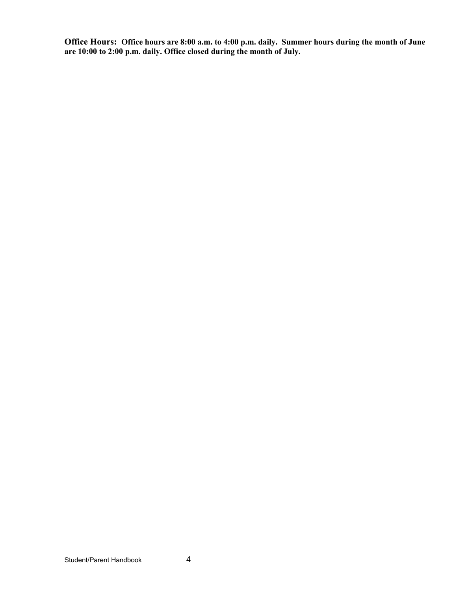**Office Hours: Office hours are 8:00 a.m. to 4:00 p.m. daily. Summer hours during the month of June are 10:00 to 2:00 p.m. daily. Office closed during the month of July.**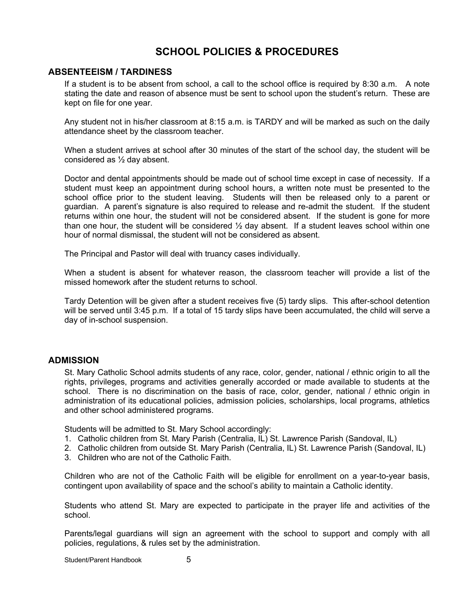# **SCHOOL POLICIES & PROCEDURES**

### **ABSENTEEISM / TARDINESS**

If a student is to be absent from school, a call to the school office is required by 8:30 a.m. A note stating the date and reason of absence must be sent to school upon the student's return. These are kept on file for one year.

Any student not in his/her classroom at 8:15 a.m. is TARDY and will be marked as such on the daily attendance sheet by the classroom teacher.

When a student arrives at school after 30 minutes of the start of the school day, the student will be considered as ½ day absent.

Doctor and dental appointments should be made out of school time except in case of necessity. If a student must keep an appointment during school hours, a written note must be presented to the school office prior to the student leaving. Students will then be released only to a parent or guardian. A parent's signature is also required to release and re-admit the student. If the student returns within one hour, the student will not be considered absent. If the student is gone for more than one hour, the student will be considered  $\frac{1}{2}$  day absent. If a student leaves school within one hour of normal dismissal, the student will not be considered as absent.

The Principal and Pastor will deal with truancy cases individually.

When a student is absent for whatever reason, the classroom teacher will provide a list of the missed homework after the student returns to school.

Tardy Detention will be given after a student receives five (5) tardy slips. This after-school detention will be served until 3:45 p.m. If a total of 15 tardy slips have been accumulated, the child will serve a day of in-school suspension.

#### **ADMISSION**

St. Mary Catholic School admits students of any race, color, gender, national / ethnic origin to all the rights, privileges, programs and activities generally accorded or made available to students at the school. There is no discrimination on the basis of race, color, gender, national / ethnic origin in administration of its educational policies, admission policies, scholarships, local programs, athletics and other school administered programs.

Students will be admitted to St. Mary School accordingly:

- 1. Catholic children from St. Mary Parish (Centralia, IL) St. Lawrence Parish (Sandoval, IL)
- 2. Catholic children from outside St. Mary Parish (Centralia, IL) St. Lawrence Parish (Sandoval, IL)
- 3. Children who are not of the Catholic Faith.

Children who are not of the Catholic Faith will be eligible for enrollment on a year-to-year basis, contingent upon availability of space and the school's ability to maintain a Catholic identity.

Students who attend St. Mary are expected to participate in the prayer life and activities of the school.

Parents/legal guardians will sign an agreement with the school to support and comply with all policies, regulations, & rules set by the administration.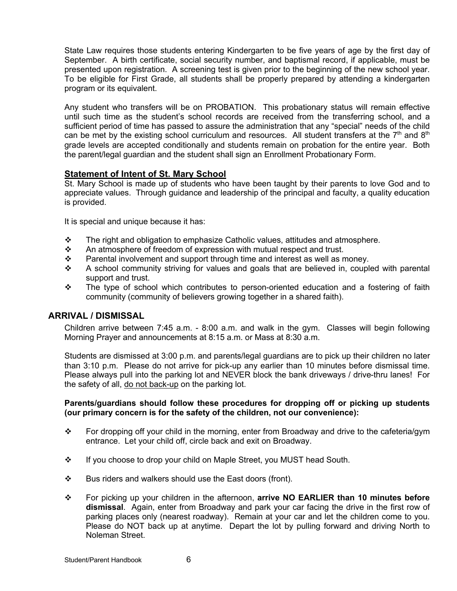State Law requires those students entering Kindergarten to be five years of age by the first day of September. A birth certificate, social security number, and baptismal record, if applicable, must be presented upon registration. A screening test is given prior to the beginning of the new school year. To be eligible for First Grade, all students shall be properly prepared by attending a kindergarten program or its equivalent.

Any student who transfers will be on PROBATION. This probationary status will remain effective until such time as the student's school records are received from the transferring school, and a sufficient period of time has passed to assure the administration that any "special" needs of the child can be met by the existing school curriculum and resources. All student transfers at the  $7<sup>th</sup>$  and  $8<sup>th</sup>$ grade levels are accepted conditionally and students remain on probation for the entire year. Both the parent/legal guardian and the student shall sign an Enrollment Probationary Form.

# **Statement of Intent of St. Mary School**

St. Mary School is made up of students who have been taught by their parents to love God and to appreciate values. Through guidance and leadership of the principal and faculty, a quality education is provided.

It is special and unique because it has:

- $\div$  The right and obligation to emphasize Catholic values, attitudes and atmosphere.
- $\cdot$  An atmosphere of freedom of expression with mutual respect and trust.
- $\div$  Parental involvement and support through time and interest as well as money.
- $\div$  A school community striving for values and goals that are believed in, coupled with parental support and trust.
- $\div$  The type of school which contributes to person-oriented education and a fostering of faith community (community of believers growing together in a shared faith).

#### **ARRIVAL / DISMISSAL**

Children arrive between 7:45 a.m. - 8:00 a.m. and walk in the gym. Classes will begin following Morning Prayer and announcements at 8:15 a.m. or Mass at 8:30 a.m.

Students are dismissed at 3:00 p.m. and parents/legal guardians are to pick up their children no later than 3:10 p.m. Please do not arrive for pick-up any earlier than 10 minutes before dismissal time. Please always pull into the parking lot and NEVER block the bank driveways / drive-thru lanes! For the safety of all, do not back-up on the parking lot.

#### **Parents/guardians should follow these procedures for dropping off or picking up students (our primary concern is for the safety of the children, not our convenience):**

- \* For dropping off your child in the morning, enter from Broadway and drive to the cafeteria/gym entrance. Let your child off, circle back and exit on Broadway.
- $\div$  If you choose to drop your child on Maple Street, you MUST head South.
- $\div$  Bus riders and walkers should use the East doors (front).
- v For picking up your children in the afternoon, **arrive NO EARLIER than 10 minutes before dismissal**. Again, enter from Broadway and park your car facing the drive in the first row of parking places only (nearest roadway). Remain at your car and let the children come to you. Please do NOT back up at anytime. Depart the lot by pulling forward and driving North to Noleman Street.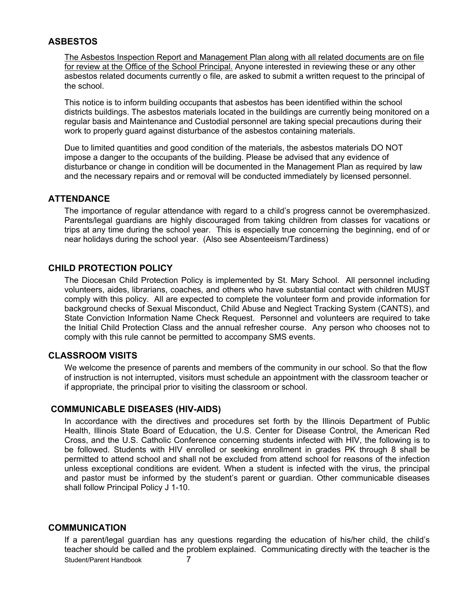### **ASBESTOS**

The Asbestos Inspection Report and Management Plan along with all related documents are on file for review at the Office of the School Principal. Anyone interested in reviewing these or any other asbestos related documents currently o file, are asked to submit a written request to the principal of the school.

This notice is to inform building occupants that asbestos has been identified within the school districts buildings. The asbestos materials located in the buildings are currently being monitored on a regular basis and Maintenance and Custodial personnel are taking special precautions during their work to properly guard against disturbance of the asbestos containing materials.

Due to limited quantities and good condition of the materials, the asbestos materials DO NOT impose a danger to the occupants of the building. Please be advised that any evidence of disturbance or change in condition will be documented in the Management Plan as required by law and the necessary repairs and or removal will be conducted immediately by licensed personnel.

#### **ATTENDANCE**

The importance of regular attendance with regard to a child's progress cannot be overemphasized. Parents/legal guardians are highly discouraged from taking children from classes for vacations or trips at any time during the school year. This is especially true concerning the beginning, end of or near holidays during the school year. (Also see Absenteeism/Tardiness)

### **CHILD PROTECTION POLICY**

The Diocesan Child Protection Policy is implemented by St. Mary School. All personnel including volunteers, aides, librarians, coaches, and others who have substantial contact with children MUST comply with this policy. All are expected to complete the volunteer form and provide information for background checks of Sexual Misconduct, Child Abuse and Neglect Tracking System (CANTS), and State Conviction Information Name Check Request. Personnel and volunteers are required to take the Initial Child Protection Class and the annual refresher course. Any person who chooses not to comply with this rule cannot be permitted to accompany SMS events.

#### **CLASSROOM VISITS**

We welcome the presence of parents and members of the community in our school. So that the flow of instruction is not interrupted, visitors must schedule an appointment with the classroom teacher or if appropriate, the principal prior to visiting the classroom or school.

# **COMMUNICABLE DISEASES (HIV-AIDS)**

In accordance with the directives and procedures set forth by the Illinois Department of Public Health, Illinois State Board of Education, the U.S. Center for Disease Control, the American Red Cross, and the U.S. Catholic Conference concerning students infected with HIV, the following is to be followed. Students with HIV enrolled or seeking enrollment in grades PK through 8 shall be permitted to attend school and shall not be excluded from attend school for reasons of the infection unless exceptional conditions are evident. When a student is infected with the virus, the principal and pastor must be informed by the student's parent or guardian. Other communicable diseases shall follow Principal Policy J 1-10.

#### **COMMUNICATION**

Student/Parent Handbook 7 If a parent/legal guardian has any questions regarding the education of his/her child, the child's teacher should be called and the problem explained. Communicating directly with the teacher is the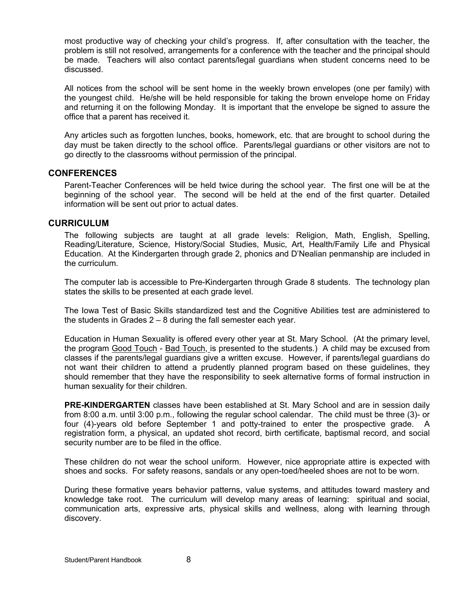most productive way of checking your child's progress. If, after consultation with the teacher, the problem is still not resolved, arrangements for a conference with the teacher and the principal should be made. Teachers will also contact parents/legal guardians when student concerns need to be discussed.

All notices from the school will be sent home in the weekly brown envelopes (one per family) with the youngest child. He/she will be held responsible for taking the brown envelope home on Friday and returning it on the following Monday. It is important that the envelope be signed to assure the office that a parent has received it.

Any articles such as forgotten lunches, books, homework, etc. that are brought to school during the day must be taken directly to the school office. Parents/legal guardians or other visitors are not to go directly to the classrooms without permission of the principal.

#### **CONFERENCES**

Parent-Teacher Conferences will be held twice during the school year. The first one will be at the beginning of the school year. The second will be held at the end of the first quarter. Detailed information will be sent out prior to actual dates.

#### **CURRICULUM**

The following subjects are taught at all grade levels: Religion, Math, English, Spelling, Reading/Literature, Science, History/Social Studies, Music, Art, Health/Family Life and Physical Education. At the Kindergarten through grade 2, phonics and D'Nealian penmanship are included in the curriculum.

The computer lab is accessible to Pre-Kindergarten through Grade 8 students. The technology plan states the skills to be presented at each grade level.

The Iowa Test of Basic Skills standardized test and the Cognitive Abilities test are administered to the students in Grades 2 – 8 during the fall semester each year.

Education in Human Sexuality is offered every other year at St. Mary School. (At the primary level, the program Good Touch - Bad Touch, is presented to the students.) A child may be excused from classes if the parents/legal guardians give a written excuse. However, if parents/legal guardians do not want their children to attend a prudently planned program based on these guidelines, they should remember that they have the responsibility to seek alternative forms of formal instruction in human sexuality for their children.

**PRE-KINDERGARTEN** classes have been established at St. Mary School and are in session daily from 8:00 a.m. until 3:00 p.m., following the regular school calendar. The child must be three (3)- or four (4)-years old before September 1 and potty-trained to enter the prospective grade. A registration form, a physical, an updated shot record, birth certificate, baptismal record, and social security number are to be filed in the office.

These children do not wear the school uniform. However, nice appropriate attire is expected with shoes and socks. For safety reasons, sandals or any open-toed/heeled shoes are not to be worn.

During these formative years behavior patterns, value systems, and attitudes toward mastery and knowledge take root. The curriculum will develop many areas of learning: spiritual and social, communication arts, expressive arts, physical skills and wellness, along with learning through discovery.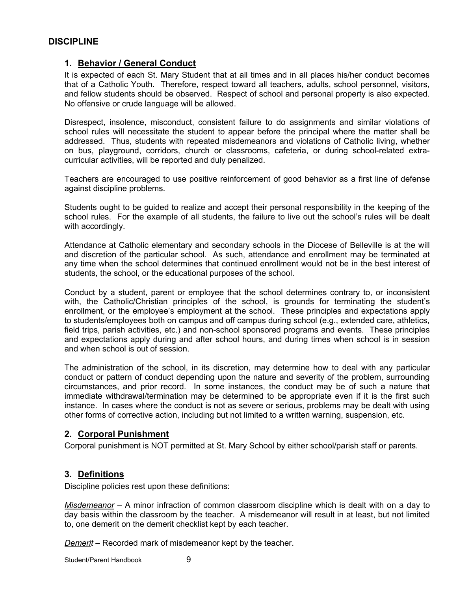### **DISCIPLINE**

### **1. Behavior / General Conduct**

It is expected of each St. Mary Student that at all times and in all places his/her conduct becomes that of a Catholic Youth. Therefore, respect toward all teachers, adults, school personnel, visitors, and fellow students should be observed. Respect of school and personal property is also expected. No offensive or crude language will be allowed.

Disrespect, insolence, misconduct, consistent failure to do assignments and similar violations of school rules will necessitate the student to appear before the principal where the matter shall be addressed. Thus, students with repeated misdemeanors and violations of Catholic living, whether on bus, playground, corridors, church or classrooms, cafeteria, or during school-related extracurricular activities, will be reported and duly penalized.

Teachers are encouraged to use positive reinforcement of good behavior as a first line of defense against discipline problems.

Students ought to be guided to realize and accept their personal responsibility in the keeping of the school rules. For the example of all students, the failure to live out the school's rules will be dealt with accordingly.

Attendance at Catholic elementary and secondary schools in the Diocese of Belleville is at the will and discretion of the particular school. As such, attendance and enrollment may be terminated at any time when the school determines that continued enrollment would not be in the best interest of students, the school, or the educational purposes of the school.

Conduct by a student, parent or employee that the school determines contrary to, or inconsistent with, the Catholic/Christian principles of the school, is grounds for terminating the student's enrollment, or the employee's employment at the school. These principles and expectations apply to students/employees both on campus and off campus during school (e.g., extended care, athletics, field trips, parish activities, etc.) and non-school sponsored programs and events. These principles and expectations apply during and after school hours, and during times when school is in session and when school is out of session.

The administration of the school, in its discretion, may determine how to deal with any particular conduct or pattern of conduct depending upon the nature and severity of the problem, surrounding circumstances, and prior record. In some instances, the conduct may be of such a nature that immediate withdrawal/termination may be determined to be appropriate even if it is the first such instance. In cases where the conduct is not as severe or serious, problems may be dealt with using other forms of corrective action, including but not limited to a written warning, suspension, etc.

#### **2. Corporal Punishment**

Corporal punishment is NOT permitted at St. Mary School by either school/parish staff or parents.

#### **3. Definitions**

Discipline policies rest upon these definitions:

*Misdemeanor* – A minor infraction of common classroom discipline which is dealt with on a day to day basis within the classroom by the teacher. A misdemeanor will result in at least, but not limited to, one demerit on the demerit checklist kept by each teacher.

*Demerit* – Recorded mark of misdemeanor kept by the teacher.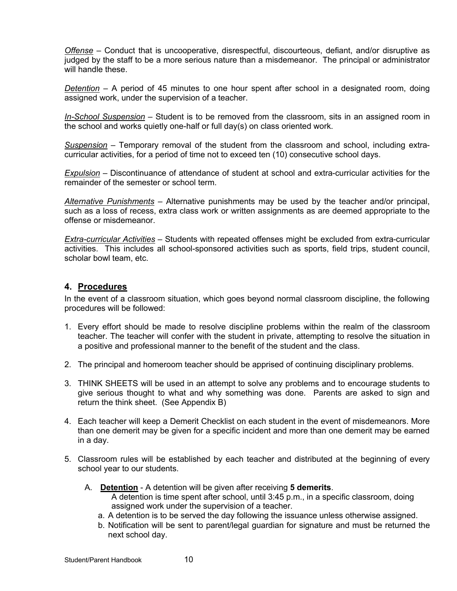*Offense* – Conduct that is uncooperative, disrespectful, discourteous, defiant, and/or disruptive as judged by the staff to be a more serious nature than a misdemeanor. The principal or administrator will handle these

*Detention* – A period of 45 minutes to one hour spent after school in a designated room, doing assigned work, under the supervision of a teacher.

*In-School Suspension* – Student is to be removed from the classroom, sits in an assigned room in the school and works quietly one-half or full day(s) on class oriented work.

*Suspension* – Temporary removal of the student from the classroom and school, including extracurricular activities, for a period of time not to exceed ten (10) consecutive school days.

*Expulsion* – Discontinuance of attendance of student at school and extra-curricular activities for the remainder of the semester or school term.

*Alternative Punishments* – Alternative punishments may be used by the teacher and/or principal, such as a loss of recess, extra class work or written assignments as are deemed appropriate to the offense or misdemeanor.

*Extra-curricular Activities* – Students with repeated offenses might be excluded from extra-curricular activities. This includes all school-sponsored activities such as sports, field trips, student council, scholar bowl team, etc.

### **4. Procedures**

In the event of a classroom situation, which goes beyond normal classroom discipline, the following procedures will be followed:

- 1. Every effort should be made to resolve discipline problems within the realm of the classroom teacher. The teacher will confer with the student in private, attempting to resolve the situation in a positive and professional manner to the benefit of the student and the class.
- 2. The principal and homeroom teacher should be apprised of continuing disciplinary problems.
- 3. THINK SHEETS will be used in an attempt to solve any problems and to encourage students to give serious thought to what and why something was done. Parents are asked to sign and return the think sheet. (See Appendix B)
- 4. Each teacher will keep a Demerit Checklist on each student in the event of misdemeanors. More than one demerit may be given for a specific incident and more than one demerit may be earned in a day.
- 5. Classroom rules will be established by each teacher and distributed at the beginning of every school year to our students.
	- A. **Detention** A detention will be given after receiving **5 demerits**. A detention is time spent after school, until 3:45 p.m., in a specific classroom, doing assigned work under the supervision of a teacher.
		- a. A detention is to be served the day following the issuance unless otherwise assigned.
		- b. Notification will be sent to parent/legal guardian for signature and must be returned the next school day.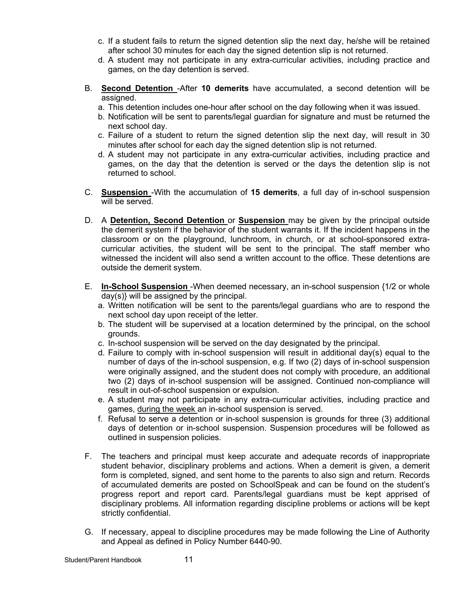- c. If a student fails to return the signed detention slip the next day, he/she will be retained after school 30 minutes for each day the signed detention slip is not returned.
- d. A student may not participate in any extra-curricular activities, including practice and games, on the day detention is served.
- B. **Second Detention** -After **10 demerits** have accumulated, a second detention will be assigned.
	- a. This detention includes one-hour after school on the day following when it was issued.
	- b. Notification will be sent to parents/legal guardian for signature and must be returned the next school day.
	- c. Failure of a student to return the signed detention slip the next day, will result in 30 minutes after school for each day the signed detention slip is not returned.
	- d. A student may not participate in any extra-curricular activities, including practice and games, on the day that the detention is served or the days the detention slip is not returned to school.
- C. **Suspension** -With the accumulation of **15 demerits**, a full day of in-school suspension will be served.
- D. A **Detention, Second Detention** or **Suspension** may be given by the principal outside the demerit system if the behavior of the student warrants it. If the incident happens in the classroom or on the playground, lunchroom, in church, or at school-sponsored extracurricular activities, the student will be sent to the principal. The staff member who witnessed the incident will also send a written account to the office. These detentions are outside the demerit system.
- E. **In-School Suspension** -When deemed necessary, an in-school suspension {1/2 or whole day(s)} will be assigned by the principal.
	- a. Written notification will be sent to the parents/legal guardians who are to respond the next school day upon receipt of the letter.
	- b. The student will be supervised at a location determined by the principal, on the school grounds.
	- c. In-school suspension will be served on the day designated by the principal.
	- d. Failure to comply with in-school suspension will result in additional day(s) equal to the number of days of the in-school suspension, e.g. If two (2) days of in-school suspension were originally assigned, and the student does not comply with procedure, an additional two (2) days of in-school suspension will be assigned. Continued non-compliance will result in out-of-school suspension or expulsion.
	- e. A student may not participate in any extra-curricular activities, including practice and games, during the week an in-school suspension is served.
	- f. Refusal to serve a detention or in-school suspension is grounds for three (3) additional days of detention or in-school suspension. Suspension procedures will be followed as outlined in suspension policies.
- F. The teachers and principal must keep accurate and adequate records of inappropriate student behavior, disciplinary problems and actions. When a demerit is given, a demerit form is completed, signed, and sent home to the parents to also sign and return. Records of accumulated demerits are posted on SchoolSpeak and can be found on the student's progress report and report card. Parents/legal guardians must be kept apprised of disciplinary problems. All information regarding discipline problems or actions will be kept strictly confidential.
- G. If necessary, appeal to discipline procedures may be made following the Line of Authority and Appeal as defined in Policy Number 6440-90.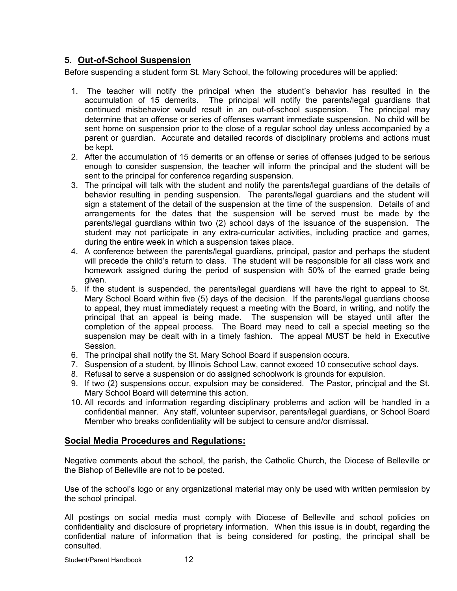# **5. Out-of-School Suspension**

Before suspending a student form St. Mary School, the following procedures will be applied:

- 1. The teacher will notify the principal when the student's behavior has resulted in the accumulation of 15 demerits. The principal will notify the parents/legal guardians that continued misbehavior would result in an out-of-school suspension. The principal may determine that an offense or series of offenses warrant immediate suspension. No child will be sent home on suspension prior to the close of a regular school day unless accompanied by a parent or guardian. Accurate and detailed records of disciplinary problems and actions must be kept.
- 2. After the accumulation of 15 demerits or an offense or series of offenses judged to be serious enough to consider suspension, the teacher will inform the principal and the student will be sent to the principal for conference regarding suspension.
- 3. The principal will talk with the student and notify the parents/legal guardians of the details of behavior resulting in pending suspension. The parents/legal guardians and the student will sign a statement of the detail of the suspension at the time of the suspension. Details of and arrangements for the dates that the suspension will be served must be made by the parents/legal guardians within two (2) school days of the issuance of the suspension. The student may not participate in any extra-curricular activities, including practice and games, during the entire week in which a suspension takes place.
- 4. A conference between the parents/legal guardians, principal, pastor and perhaps the student will precede the child's return to class. The student will be responsible for all class work and homework assigned during the period of suspension with 50% of the earned grade being given.
- 5. If the student is suspended, the parents/legal guardians will have the right to appeal to St. Mary School Board within five (5) days of the decision. If the parents/legal guardians choose to appeal, they must immediately request a meeting with the Board, in writing, and notify the principal that an appeal is being made. The suspension will be stayed until after the completion of the appeal process. The Board may need to call a special meeting so the suspension may be dealt with in a timely fashion. The appeal MUST be held in Executive Session.
- 6. The principal shall notify the St. Mary School Board if suspension occurs.
- 7. Suspension of a student, by Illinois School Law, cannot exceed 10 consecutive school days.
- 8. Refusal to serve a suspension or do assigned schoolwork is grounds for expulsion.
- 9. If two (2) suspensions occur, expulsion may be considered. The Pastor, principal and the St. Mary School Board will determine this action.
- 10. All records and information regarding disciplinary problems and action will be handled in a confidential manner. Any staff, volunteer supervisor, parents/legal guardians, or School Board Member who breaks confidentiality will be subject to censure and/or dismissal.

# **Social Media Procedures and Regulations:**

Negative comments about the school, the parish, the Catholic Church, the Diocese of Belleville or the Bishop of Belleville are not to be posted.

Use of the school's logo or any organizational material may only be used with written permission by the school principal.

All postings on social media must comply with Diocese of Belleville and school policies on confidentiality and disclosure of proprietary information. When this issue is in doubt, regarding the confidential nature of information that is being considered for posting, the principal shall be consulted.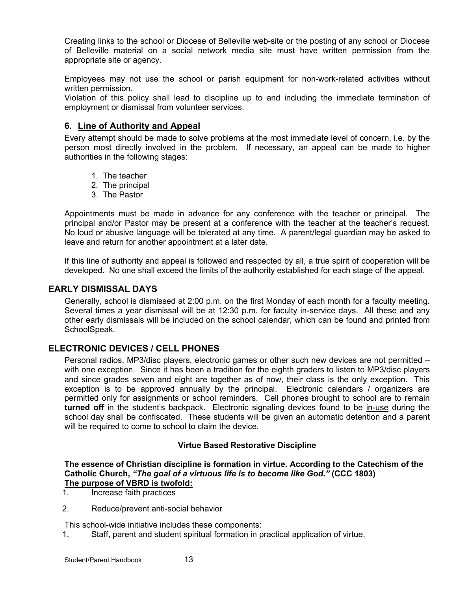Creating links to the school or Diocese of Belleville web-site or the posting of any school or Diocese of Belleville material on a social network media site must have written permission from the appropriate site or agency.

Employees may not use the school or parish equipment for non-work-related activities without written permission.

Violation of this policy shall lead to discipline up to and including the immediate termination of employment or dismissal from volunteer services.

### **6. Line of Authority and Appeal**

Every attempt should be made to solve problems at the most immediate level of concern, i.e. by the person most directly involved in the problem. If necessary, an appeal can be made to higher authorities in the following stages:

- 1. The teacher
- 2. The principal
- 3. The Pastor

Appointments must be made in advance for any conference with the teacher or principal. The principal and/or Pastor may be present at a conference with the teacher at the teacher's request. No loud or abusive language will be tolerated at any time. A parent/legal guardian may be asked to leave and return for another appointment at a later date.

If this line of authority and appeal is followed and respected by all, a true spirit of cooperation will be developed. No one shall exceed the limits of the authority established for each stage of the appeal.

#### **EARLY DISMISSAL DAYS**

Generally, school is dismissed at 2:00 p.m. on the first Monday of each month for a faculty meeting. Several times a year dismissal will be at 12:30 p.m. for faculty in-service days. All these and any other early dismissals will be included on the school calendar, which can be found and printed from SchoolSpeak.

#### **ELECTRONIC DEVICES / CELL PHONES**

Personal radios, MP3/disc players, electronic games or other such new devices are not permitted – with one exception. Since it has been a tradition for the eighth graders to listen to MP3/disc players and since grades seven and eight are together as of now, their class is the only exception. This exception is to be approved annually by the principal. Electronic calendars / organizers are permitted only for assignments or school reminders. Cell phones brought to school are to remain **turned off** in the student's backpack. Electronic signaling devices found to be in-use during the school day shall be confiscated. These students will be given an automatic detention and a parent will be required to come to school to claim the device.

#### **Virtue Based Restorative Discipline**

**The essence of Christian discipline is formation in virtue. According to the Catechism of the Catholic Church,** *"The goal of a virtuous life is to become like God."* **(CCC 1803) The purpose of VBRD is twofold:**<br>1. **Increase faith practices** 

- 1. Increase faith practices
- 2. Reduce/prevent anti-social behavior

This school-wide initiative includes these components:

1. Staff, parent and student spiritual formation in practical application of virtue,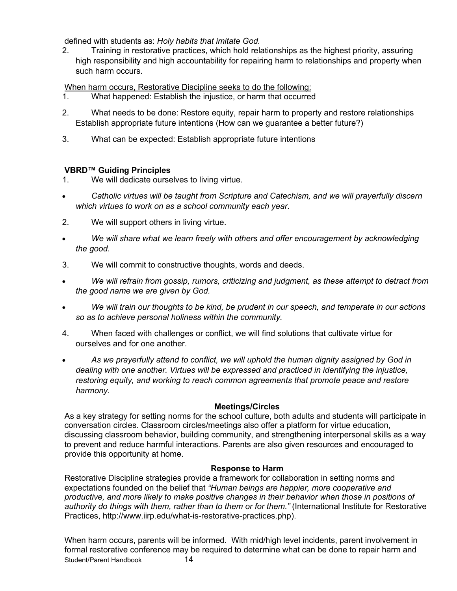defined with students as: *Holy habits that imitate God.*

2. Training in restorative practices, which hold relationships as the highest priority, assuring high responsibility and high accountability for repairing harm to relationships and property when such harm occurs.

When harm occurs, Restorative Discipline seeks to do the following:

- 1. What happened: Establish the injustice, or harm that occurred
- 2. What needs to be done: Restore equity, repair harm to property and restore relationships Establish appropriate future intentions (How can we guarantee a better future?)
- 3. What can be expected: Establish appropriate future intentions

# **VBRD™ Guiding Principles**

- 1. We will dedicate ourselves to living virtue.
- *Catholic virtues will be taught from Scripture and Catechism, and we will prayerfully discern which virtues to work on as a school community each year.*
- 2. We will support others in living virtue.
- *We will share what we learn freely with others and offer encouragement by acknowledging the good.*
- 3. We will commit to constructive thoughts, words and deeds.
- *We will refrain from gossip, rumors, criticizing and judgment, as these attempt to detract from the good name we are given by God.*
- *We will train our thoughts to be kind, be prudent in our speech, and temperate in our actions so as to achieve personal holiness within the community.*
- 4. When faced with challenges or conflict, we will find solutions that cultivate virtue for ourselves and for one another.
- *As we prayerfully attend to conflict, we will uphold the human dignity assigned by God in dealing with one another. Virtues will be expressed and practiced in identifying the injustice, restoring equity, and working to reach common agreements that promote peace and restore harmony.*

# **Meetings/Circles**

As a key strategy for setting norms for the school culture, both adults and students will participate in conversation circles. Classroom circles/meetings also offer a platform for virtue education, discussing classroom behavior, building community, and strengthening interpersonal skills as a way to prevent and reduce harmful interactions. Parents are also given resources and encouraged to provide this opportunity at home.

# **Response to Harm**

Restorative Discipline strategies provide a framework for collaboration in setting norms and expectations founded on the belief that *"Human beings are happier, more cooperative and productive, and more likely to make positive changes in their behavior when those in positions of authority do things with them, rather than to them or for them."* (International Institute for Restorative Practices, http://www.iirp.edu/what-is-restorative-practices.php).

Student/Parent Handbook 14 When harm occurs, parents will be informed. With mid/high level incidents, parent involvement in formal restorative conference may be required to determine what can be done to repair harm and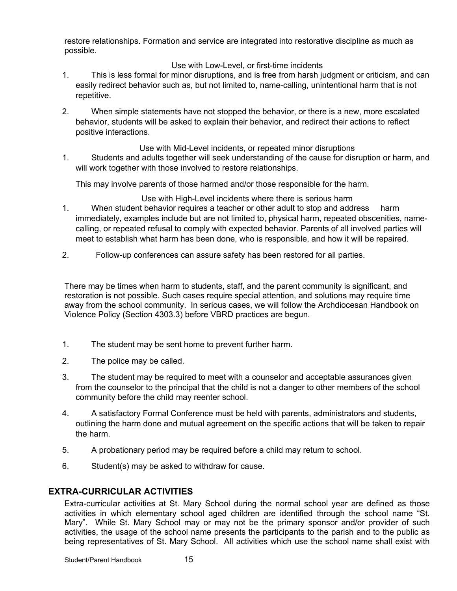restore relationships. Formation and service are integrated into restorative discipline as much as possible.

#### Use with Low-Level, or first-time incidents

- 1. This is less formal for minor disruptions, and is free from harsh judgment or criticism, and can easily redirect behavior such as, but not limited to, name-calling, unintentional harm that is not repetitive.
- 2. When simple statements have not stopped the behavior, or there is a new, more escalated behavior, students will be asked to explain their behavior, and redirect their actions to reflect positive interactions.

Use with Mid-Level incidents, or repeated minor disruptions 1. Students and adults together will seek understanding of the cause for disruption or harm, and will work together with those involved to restore relationships.

This may involve parents of those harmed and/or those responsible for the harm.

Use with High-Level incidents where there is serious harm

- 1. When student behavior requires a teacher or other adult to stop and address harm immediately, examples include but are not limited to, physical harm, repeated obscenities, namecalling, or repeated refusal to comply with expected behavior. Parents of all involved parties will meet to establish what harm has been done, who is responsible, and how it will be repaired.
- 2. Follow-up conferences can assure safety has been restored for all parties.

There may be times when harm to students, staff, and the parent community is significant, and restoration is not possible. Such cases require special attention, and solutions may require time away from the school community. In serious cases, we will follow the Archdiocesan Handbook on Violence Policy (Section 4303.3) before VBRD practices are begun.

- 1. The student may be sent home to prevent further harm.
- 2. The police may be called.
- 3. The student may be required to meet with a counselor and acceptable assurances given from the counselor to the principal that the child is not a danger to other members of the school community before the child may reenter school.
- 4. A satisfactory Formal Conference must be held with parents, administrators and students, outlining the harm done and mutual agreement on the specific actions that will be taken to repair the harm.
- 5. A probationary period may be required before a child may return to school.
- 6. Student(s) may be asked to withdraw for cause.

# **EXTRA-CURRICULAR ACTIVITIES**

Extra-curricular activities at St. Mary School during the normal school year are defined as those activities in which elementary school aged children are identified through the school name "St. Mary". While St. Mary School may or may not be the primary sponsor and/or provider of such activities, the usage of the school name presents the participants to the parish and to the public as being representatives of St. Mary School. All activities which use the school name shall exist with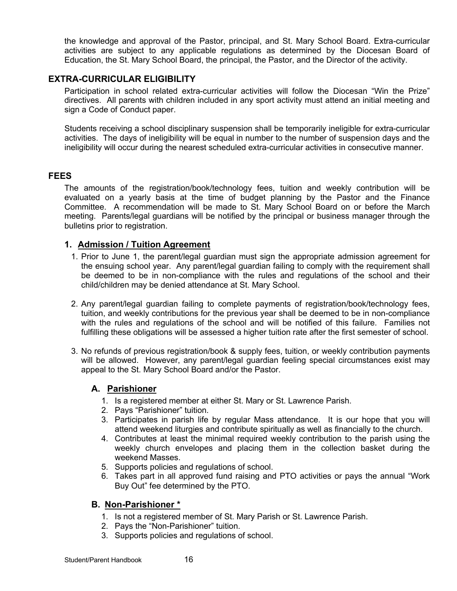the knowledge and approval of the Pastor, principal, and St. Mary School Board. Extra-curricular activities are subject to any applicable regulations as determined by the Diocesan Board of Education, the St. Mary School Board, the principal, the Pastor, and the Director of the activity.

### **EXTRA-CURRICULAR ELIGIBILITY**

Participation in school related extra-curricular activities will follow the Diocesan "Win the Prize" directives. All parents with children included in any sport activity must attend an initial meeting and sign a Code of Conduct paper.

Students receiving a school disciplinary suspension shall be temporarily ineligible for extra-curricular activities. The days of ineligibility will be equal in number to the number of suspension days and the ineligibility will occur during the nearest scheduled extra-curricular activities in consecutive manner.

#### **FEES**

The amounts of the registration/book/technology fees, tuition and weekly contribution will be evaluated on a yearly basis at the time of budget planning by the Pastor and the Finance Committee. A recommendation will be made to St. Mary School Board on or before the March meeting. Parents/legal guardians will be notified by the principal or business manager through the bulletins prior to registration.

### **1. Admission / Tuition Agreement**

- 1. Prior to June 1, the parent/legal guardian must sign the appropriate admission agreement for the ensuing school year. Any parent/legal guardian failing to comply with the requirement shall be deemed to be in non-compliance with the rules and regulations of the school and their child/children may be denied attendance at St. Mary School.
- 2. Any parent/legal guardian failing to complete payments of registration/book/technology fees, tuition, and weekly contributions for the previous year shall be deemed to be in non-compliance with the rules and regulations of the school and will be notified of this failure. Families not fulfilling these obligations will be assessed a higher tuition rate after the first semester of school.
- 3. No refunds of previous registration/book & supply fees, tuition, or weekly contribution payments will be allowed. However, any parent/legal guardian feeling special circumstances exist may appeal to the St. Mary School Board and/or the Pastor.

# **A. Parishioner**

- 1. Is a registered member at either St. Mary or St. Lawrence Parish.
- 2. Pays "Parishioner" tuition.
- 3. Participates in parish life by regular Mass attendance. It is our hope that you will attend weekend liturgies and contribute spiritually as well as financially to the church.
- 4. Contributes at least the minimal required weekly contribution to the parish using the weekly church envelopes and placing them in the collection basket during the weekend Masses.
- 5. Supports policies and regulations of school.
- 6. Takes part in all approved fund raising and PTO activities or pays the annual "Work Buy Out" fee determined by the PTO.

#### **B. Non-Parishioner \***

- 1. Is not a registered member of St. Mary Parish or St. Lawrence Parish.
- 2. Pays the "Non-Parishioner" tuition.
- 3. Supports policies and regulations of school.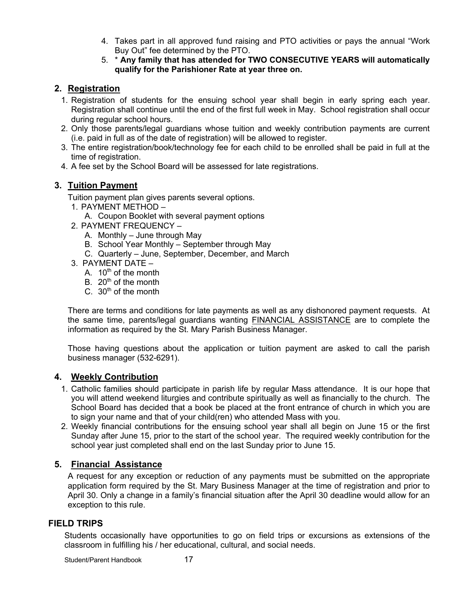- 4. Takes part in all approved fund raising and PTO activities or pays the annual "Work Buy Out" fee determined by the PTO.
- 5. \* **Any family that has attended for TWO CONSECUTIVE YEARS will automatically qualify for the Parishioner Rate at year three on.**

# **2. Registration**

- 1. Registration of students for the ensuing school year shall begin in early spring each year. Registration shall continue until the end of the first full week in May. School registration shall occur during regular school hours.
- 2. Only those parents/legal guardians whose tuition and weekly contribution payments are current (i.e. paid in full as of the date of registration) will be allowed to register.
- 3. The entire registration/book/technology fee for each child to be enrolled shall be paid in full at the time of registration.
- 4. A fee set by the School Board will be assessed for late registrations.

# **3. Tuition Payment**

Tuition payment plan gives parents several options.

- 1. PAYMENT METHOD
	- A. Coupon Booklet with several payment options
- 2. PAYMENT FREQUENCY
	- A. Monthly June through May
	- B. School Year Monthly September through May
	- C. Quarterly June, September, December, and March
- 3. PAYMENT DATE
	- A.  $10^{th}$  of the month
	- B.  $20<sup>th</sup>$  of the month
	- C.  $30<sup>th</sup>$  of the month

There are terms and conditions for late payments as well as any dishonored payment requests. At the same time, parents/legal guardians wanting FINANCIAL ASSISTANCE are to complete the information as required by the St. Mary Parish Business Manager.

Those having questions about the application or tuition payment are asked to call the parish business manager (532-6291).

# **4. Weekly Contribution**

- 1. Catholic families should participate in parish life by regular Mass attendance. It is our hope that you will attend weekend liturgies and contribute spiritually as well as financially to the church. The School Board has decided that a book be placed at the front entrance of church in which you are to sign your name and that of your child(ren) who attended Mass with you.
- 2. Weekly financial contributions for the ensuing school year shall all begin on June 15 or the first Sunday after June 15, prior to the start of the school year. The required weekly contribution for the school year just completed shall end on the last Sunday prior to June 15.

# **5. Financial Assistance**

A request for any exception or reduction of any payments must be submitted on the appropriate application form required by the St. Mary Business Manager at the time of registration and prior to April 30. Only a change in a family's financial situation after the April 30 deadline would allow for an exception to this rule.

# **FIELD TRIPS**

Students occasionally have opportunities to go on field trips or excursions as extensions of the classroom in fulfilling his / her educational, cultural, and social needs.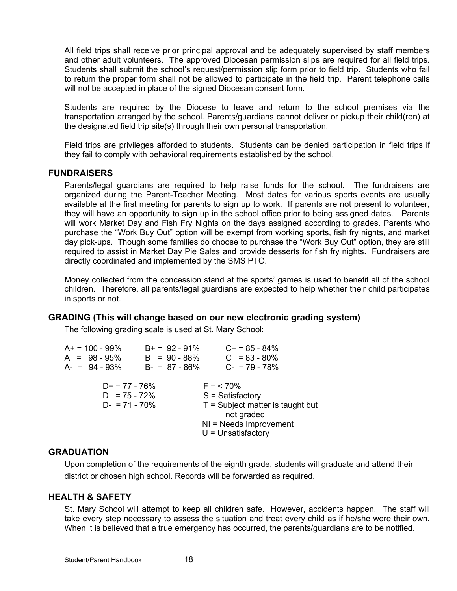All field trips shall receive prior principal approval and be adequately supervised by staff members and other adult volunteers. The approved Diocesan permission slips are required for all field trips. Students shall submit the school's request/permission slip form prior to field trip. Students who fail to return the proper form shall not be allowed to participate in the field trip. Parent telephone calls will not be accepted in place of the signed Diocesan consent form.

Students are required by the Diocese to leave and return to the school premises via the transportation arranged by the school. Parents/guardians cannot deliver or pickup their child(ren) at the designated field trip site(s) through their own personal transportation.

Field trips are privileges afforded to students. Students can be denied participation in field trips if they fail to comply with behavioral requirements established by the school.

#### **FUNDRAISERS**

Parents/legal guardians are required to help raise funds for the school. The fundraisers are organized during the Parent-Teacher Meeting. Most dates for various sports events are usually available at the first meeting for parents to sign up to work. If parents are not present to volunteer, they will have an opportunity to sign up in the school office prior to being assigned dates. Parents will work Market Day and Fish Fry Nights on the days assigned according to grades. Parents who purchase the "Work Buy Out" option will be exempt from working sports, fish fry nights, and market day pick-ups. Though some families do choose to purchase the "Work Buy Out" option, they are still required to assist in Market Day Pie Sales and provide desserts for fish fry nights. Fundraisers are directly coordinated and implemented by the SMS PTO.

Money collected from the concession stand at the sports' games is used to benefit all of the school children. Therefore, all parents/legal guardians are expected to help whether their child participates in sports or not.

#### **GRADING (This will change based on our new electronic grading system)**

The following grading scale is used at St. Mary School:

| A+ = 100 - 99%<br>$A = 98 - 95%$<br>$A = 94 - 93%$    | $B+ = 92 - 91\%$<br>$B = 90 - 88%$<br>$B - = 87 - 86\%$ | $C+ = 85 - 84\%$<br>$C = 83 - 80\%$<br>$C - 79 - 78%$                                                                                     |
|-------------------------------------------------------|---------------------------------------------------------|-------------------------------------------------------------------------------------------------------------------------------------------|
| $D+ = 77 - 76\%$<br>$D = 75 - 72%$<br>$D - 71 - 70\%$ |                                                         | $F = 570\%$<br>$S = Satisfactory$<br>$T =$ Subject matter is taught but<br>not graded<br>$NI = Needs$ Improvement<br>$U =$ Unsatisfactory |

#### **GRADUATION**

Upon completion of the requirements of the eighth grade, students will graduate and attend their district or chosen high school. Records will be forwarded as required.

#### **HEALTH & SAFETY**

St. Mary School will attempt to keep all children safe. However, accidents happen. The staff will take every step necessary to assess the situation and treat every child as if he/she were their own. When it is believed that a true emergency has occurred, the parents/guardians are to be notified.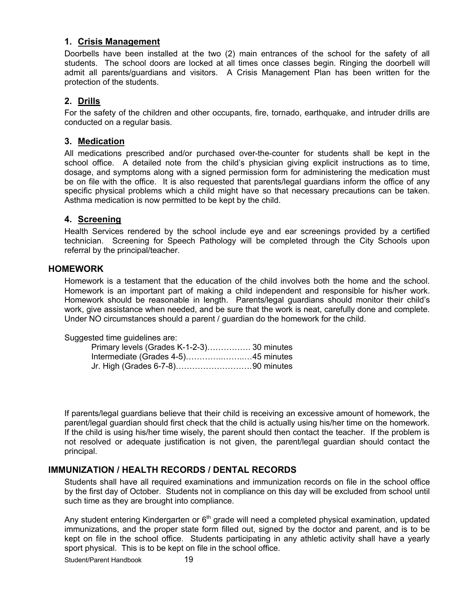# **1. Crisis Management**

Doorbells have been installed at the two (2) main entrances of the school for the safety of all students. The school doors are locked at all times once classes begin. Ringing the doorbell will admit all parents/guardians and visitors. A Crisis Management Plan has been written for the protection of the students.

# **2. Drills**

For the safety of the children and other occupants, fire, tornado, earthquake, and intruder drills are conducted on a regular basis.

# **3. Medication**

All medications prescribed and/or purchased over-the-counter for students shall be kept in the school office. A detailed note from the child's physician giving explicit instructions as to time, dosage, and symptoms along with a signed permission form for administering the medication must be on file with the office. It is also requested that parents/legal guardians inform the office of any specific physical problems which a child might have so that necessary precautions can be taken. Asthma medication is now permitted to be kept by the child.

# **4. Screening**

Health Services rendered by the school include eye and ear screenings provided by a certified technician. Screening for Speech Pathology will be completed through the City Schools upon referral by the principal/teacher.

### **HOMEWORK**

Homework is a testament that the education of the child involves both the home and the school. Homework is an important part of making a child independent and responsible for his/her work. Homework should be reasonable in length. Parents/legal guardians should monitor their child's work, give assistance when needed, and be sure that the work is neat, carefully done and complete. Under NO circumstances should a parent / guardian do the homework for the child.

#### Suggested time guidelines are:

| Primary levels (Grades K-1-2-3) 30 minutes |  |
|--------------------------------------------|--|
|                                            |  |
|                                            |  |

If parents/legal guardians believe that their child is receiving an excessive amount of homework, the parent/legal guardian should first check that the child is actually using his/her time on the homework. If the child is using his/her time wisely, the parent should then contact the teacher. If the problem is not resolved or adequate justification is not given, the parent/legal guardian should contact the principal.

# **IMMUNIZATION / HEALTH RECORDS / DENTAL RECORDS**

Students shall have all required examinations and immunization records on file in the school office by the first day of October. Students not in compliance on this day will be excluded from school until such time as they are brought into compliance.

Any student entering Kindergarten or  $6<sup>th</sup>$  grade will need a completed physical examination, updated immunizations, and the proper state form filled out, signed by the doctor and parent, and is to be kept on file in the school office. Students participating in any athletic activity shall have a yearly sport physical. This is to be kept on file in the school office.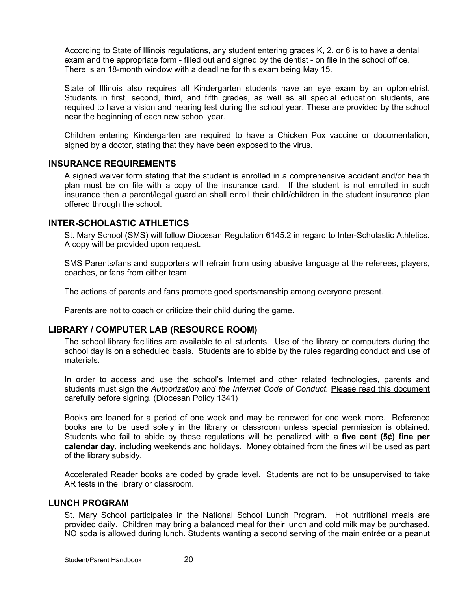According to State of Illinois regulations, any student entering grades K, 2, or 6 is to have a dental exam and the appropriate form - filled out and signed by the dentist - on file in the school office. There is an 18-month window with a deadline for this exam being May 15.

State of Illinois also requires all Kindergarten students have an eye exam by an optometrist. Students in first, second, third, and fifth grades, as well as all special education students, are required to have a vision and hearing test during the school year. These are provided by the school near the beginning of each new school year.

Children entering Kindergarten are required to have a Chicken Pox vaccine or documentation, signed by a doctor, stating that they have been exposed to the virus.

#### **INSURANCE REQUIREMENTS**

A signed waiver form stating that the student is enrolled in a comprehensive accident and/or health plan must be on file with a copy of the insurance card. If the student is not enrolled in such insurance then a parent/legal guardian shall enroll their child/children in the student insurance plan offered through the school.

#### **INTER-SCHOLASTIC ATHLETICS**

St. Mary School (SMS) will follow Diocesan Regulation 6145.2 in regard to Inter-Scholastic Athletics. A copy will be provided upon request.

SMS Parents/fans and supporters will refrain from using abusive language at the referees, players, coaches, or fans from either team.

The actions of parents and fans promote good sportsmanship among everyone present.

Parents are not to coach or criticize their child during the game.

#### **LIBRARY / COMPUTER LAB (RESOURCE ROOM)**

The school library facilities are available to all students. Use of the library or computers during the school day is on a scheduled basis. Students are to abide by the rules regarding conduct and use of materials.

In order to access and use the school's Internet and other related technologies, parents and students must sign the *Authorization and the Internet Code of Conduct.* Please read this document carefully before signing. (Diocesan Policy 1341)

Books are loaned for a period of one week and may be renewed for one week more. Reference books are to be used solely in the library or classroom unless special permission is obtained. Students who fail to abide by these regulations will be penalized with a **five cent (5¢) fine per calendar day**, including weekends and holidays. Money obtained from the fines will be used as part of the library subsidy.

Accelerated Reader books are coded by grade level. Students are not to be unsupervised to take AR tests in the library or classroom.

#### **LUNCH PROGRAM**

St. Mary School participates in the National School Lunch Program. Hot nutritional meals are provided daily. Children may bring a balanced meal for their lunch and cold milk may be purchased. NO soda is allowed during lunch. Students wanting a second serving of the main entrée or a peanut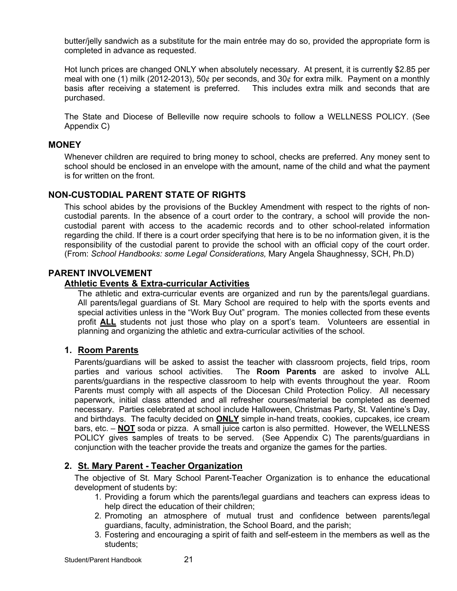butter/jelly sandwich as a substitute for the main entrée may do so, provided the appropriate form is completed in advance as requested.

Hot lunch prices are changed ONLY when absolutely necessary. At present, it is currently \$2.85 per meal with one (1) milk (2012-2013), 50¢ per seconds, and 30¢ for extra milk. Payment on a monthly basis after receiving a statement is preferred. This includes extra milk and seconds that are purchased.

The State and Diocese of Belleville now require schools to follow a WELLNESS POLICY. (See Appendix C)

### **MONEY**

Whenever children are required to bring money to school, checks are preferred. Any money sent to school should be enclosed in an envelope with the amount, name of the child and what the payment is for written on the front.

# **NON-CUSTODIAL PARENT STATE OF RIGHTS**

This school abides by the provisions of the Buckley Amendment with respect to the rights of noncustodial parents. In the absence of a court order to the contrary, a school will provide the noncustodial parent with access to the academic records and to other school-related information regarding the child. If there is a court order specifying that here is to be no information given, it is the responsibility of the custodial parent to provide the school with an official copy of the court order. (From: *School Handbooks: some Legal Considerations,* Mary Angela Shaughnessy, SCH, Ph.D)

### **PARENT INVOLVEMENT**

#### **Athletic Events & Extra-curricular Activities**

The athletic and extra-curricular events are organized and run by the parents/legal guardians. All parents/legal guardians of St. Mary School are required to help with the sports events and special activities unless in the "Work Buy Out" program. The monies collected from these events profit **ALL** students not just those who play on a sport's team. Volunteers are essential in planning and organizing the athletic and extra-curricular activities of the school.

# **1. Room Parents**

Parents/guardians will be asked to assist the teacher with classroom projects, field trips, room parties and various school activities. The **Room Parents** are asked to involve ALL parents/guardians in the respective classroom to help with events throughout the year. Room Parents must comply with all aspects of the Diocesan Child Protection Policy. All necessary paperwork, initial class attended and all refresher courses/material be completed as deemed necessary. Parties celebrated at school include Halloween, Christmas Party, St. Valentine's Day, and birthdays. The faculty decided on **ONLY** simple in-hand treats, cookies, cupcakes, ice cream bars, etc. – **NOT** soda or pizza. A small juice carton is also permitted. However, the WELLNESS POLICY gives samples of treats to be served. (See Appendix C) The parents/guardians in conjunction with the teacher provide the treats and organize the games for the parties.

# **2. St. Mary Parent - Teacher Organization**

The objective of St. Mary School Parent-Teacher Organization is to enhance the educational development of students by:

- 1. Providing a forum which the parents/legal guardians and teachers can express ideas to help direct the education of their children;
- 2. Promoting an atmosphere of mutual trust and confidence between parents/legal guardians, faculty, administration, the School Board, and the parish;
- 3. Fostering and encouraging a spirit of faith and self-esteem in the members as well as the students;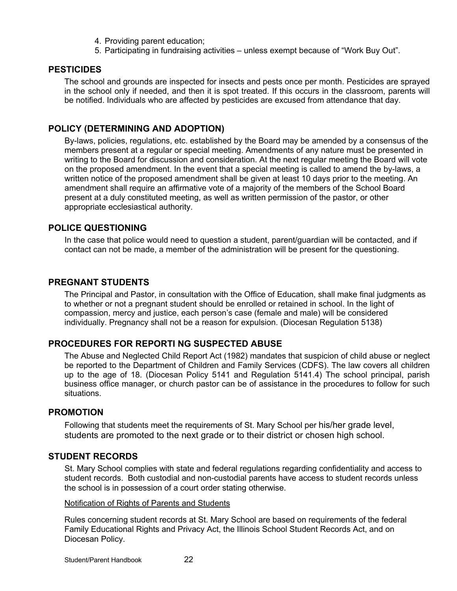- 4. Providing parent education;
- 5. Participating in fundraising activities unless exempt because of "Work Buy Out".

### **PESTICIDES**

The school and grounds are inspected for insects and pests once per month. Pesticides are sprayed in the school only if needed, and then it is spot treated. If this occurs in the classroom, parents will be notified. Individuals who are affected by pesticides are excused from attendance that day.

### **POLICY (DETERMINING AND ADOPTION)**

By-laws, policies, regulations, etc. established by the Board may be amended by a consensus of the members present at a regular or special meeting. Amendments of any nature must be presented in writing to the Board for discussion and consideration. At the next regular meeting the Board will vote on the proposed amendment. In the event that a special meeting is called to amend the by-laws, a written notice of the proposed amendment shall be given at least 10 days prior to the meeting. An amendment shall require an affirmative vote of a majority of the members of the School Board present at a duly constituted meeting, as well as written permission of the pastor, or other appropriate ecclesiastical authority.

### **POLICE QUESTIONING**

In the case that police would need to question a student, parent/guardian will be contacted, and if contact can not be made, a member of the administration will be present for the questioning.

#### **PREGNANT STUDENTS**

The Principal and Pastor, in consultation with the Office of Education, shall make final judgments as to whether or not a pregnant student should be enrolled or retained in school. In the light of compassion, mercy and justice, each person's case (female and male) will be considered individually. Pregnancy shall not be a reason for expulsion. (Diocesan Regulation 5138)

#### **PROCEDURES FOR REPORTI NG SUSPECTED ABUSE**

The Abuse and Neglected Child Report Act (1982) mandates that suspicion of child abuse or neglect be reported to the Department of Children and Family Services (CDFS). The law covers all children up to the age of 18. (Diocesan Policy 5141 and Regulation 5141.4) The school principal, parish business office manager, or church pastor can be of assistance in the procedures to follow for such situations.

#### **PROMOTION**

Following that students meet the requirements of St. Mary School per his/her grade level, students are promoted to the next grade or to their district or chosen high school.

#### **STUDENT RECORDS**

St. Mary School complies with state and federal regulations regarding confidentiality and access to student records. Both custodial and non-custodial parents have access to student records unless the school is in possession of a court order stating otherwise.

#### Notification of Rights of Parents and Students

Rules concerning student records at St. Mary School are based on requirements of the federal Family Educational Rights and Privacy Act, the Illinois School Student Records Act, and on Diocesan Policy.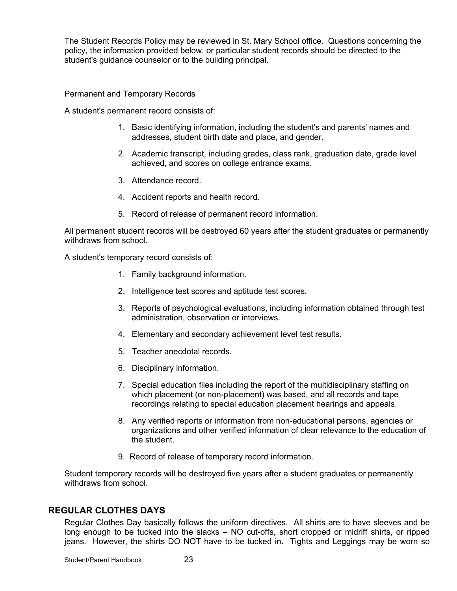The Student Records Policy may be reviewed in St. Mary School office. Questions concerning the policy, the information provided below, or particular student records should be directed to the student's guidance counselor or to the building principal.

#### Permanent and Temporary Records

A student's permanent record consists of:

- 1. Basic identifying information, including the student's and parents' names and addresses, student birth date and place, and gender.
- 2. Academic transcript, including grades, class rank, graduation date, grade level achieved, and scores on college entrance exams.
- 3. Attendance record.
- 4. Accident reports and health record.
- 5. Record of release of permanent record information.

All permanent student records will be destroyed 60 years after the student graduates or permanently withdraws from school.

A student's temporary record consists of:

- 1. Family background information.
- 2. Intelligence test scores and aptitude test scores.
- 3. Reports of psychological evaluations, including information obtained through test administration, observation or interviews.
- 4. Elementary and secondary achievement level test results.
- 5. Teacher anecdotal records.
- 6. Disciplinary information.
- 7. Special education files including the report of the multidisciplinary staffing on which placement (or non-placement) was based, and all records and tape recordings relating to special education placement hearings and appeals.
- 8. Any verified reports or information from non-educational persons, agencies or organizations and other verified information of clear relevance to the education of the student.
- 9. Record of release of temporary record information.

Student temporary records will be destroyed five years after a student graduates or permanently withdraws from school.

# **REGULAR CLOTHES DAYS**

Regular Clothes Day basically follows the uniform directives. All shirts are to have sleeves and be long enough to be tucked into the slacks – NO cut-offs, short cropped or midriff shirts, or ripped jeans. However, the shirts DO NOT have to be tucked in. Tights and Leggings may be worn so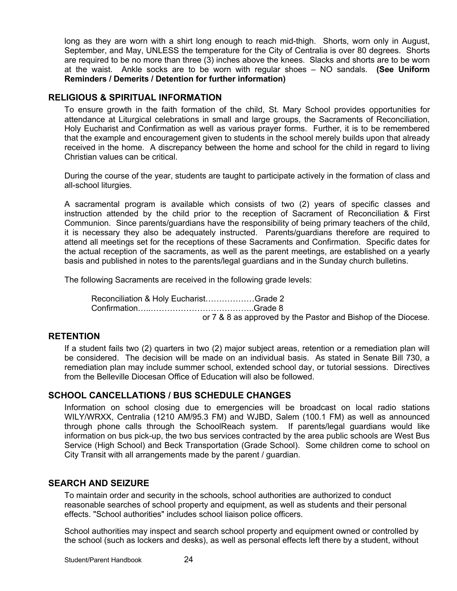long as they are worn with a shirt long enough to reach mid-thigh. Shorts, worn only in August, September, and May, UNLESS the temperature for the City of Centralia is over 80 degrees. Shorts are required to be no more than three (3) inches above the knees. Slacks and shorts are to be worn at the waist. Ankle socks are to be worn with regular shoes – NO sandals. **(See Uniform Reminders / Demerits / Detention for further information)**

### **RELIGIOUS & SPIRITUAL INFORMATION**

To ensure growth in the faith formation of the child, St. Mary School provides opportunities for attendance at Liturgical celebrations in small and large groups, the Sacraments of Reconciliation, Holy Eucharist and Confirmation as well as various prayer forms. Further, it is to be remembered that the example and encouragement given to students in the school merely builds upon that already received in the home. A discrepancy between the home and school for the child in regard to living Christian values can be critical.

During the course of the year, students are taught to participate actively in the formation of class and all-school liturgies.

A sacramental program is available which consists of two (2) years of specific classes and instruction attended by the child prior to the reception of Sacrament of Reconciliation & First Communion. Since parents/guardians have the responsibility of being primary teachers of the child, it is necessary they also be adequately instructed. Parents/guardians therefore are required to attend all meetings set for the receptions of these Sacraments and Confirmation. Specific dates for the actual reception of the sacraments, as well as the parent meetings, are established on a yearly basis and published in notes to the parents/legal guardians and in the Sunday church bulletins.

The following Sacraments are received in the following grade levels:

Reconciliation & Holy Eucharist………………Grade 2 Confirmation…..………………………………..Grade 8 or 7 & 8 as approved by the Pastor and Bishop of the Diocese.

# **RETENTION**

If a student fails two (2) quarters in two (2) major subject areas, retention or a remediation plan will be considered. The decision will be made on an individual basis. As stated in Senate Bill 730, a remediation plan may include summer school, extended school day, or tutorial sessions. Directives from the Belleville Diocesan Office of Education will also be followed.

# **SCHOOL CANCELLATIONS / BUS SCHEDULE CHANGES**

Information on school closing due to emergencies will be broadcast on local radio stations WILY/WRXX, Centralia (1210 AM/95.3 FM) and WJBD, Salem (100.1 FM) as well as announced through phone calls through the SchoolReach system. If parents/legal guardians would like information on bus pick-up, the two bus services contracted by the area public schools are West Bus Service (High School) and Beck Transportation (Grade School). Some children come to school on City Transit with all arrangements made by the parent / guardian.

# **SEARCH AND SEIZURE**

To maintain order and security in the schools, school authorities are authorized to conduct reasonable searches of school property and equipment, as well as students and their personal effects. "School authorities" includes school liaison police officers.

School authorities may inspect and search school property and equipment owned or controlled by the school (such as lockers and desks), as well as personal effects left there by a student, without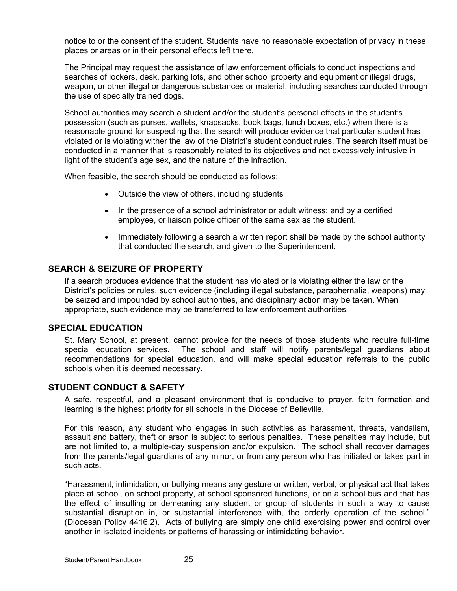notice to or the consent of the student. Students have no reasonable expectation of privacy in these places or areas or in their personal effects left there.

The Principal may request the assistance of law enforcement officials to conduct inspections and searches of lockers, desk, parking lots, and other school property and equipment or illegal drugs, weapon, or other illegal or dangerous substances or material, including searches conducted through the use of specially trained dogs.

School authorities may search a student and/or the student's personal effects in the student's possession (such as purses, wallets, knapsacks, book bags, lunch boxes, etc.) when there is a reasonable ground for suspecting that the search will produce evidence that particular student has violated or is violating wither the law of the District's student conduct rules. The search itself must be conducted in a manner that is reasonably related to its objectives and not excessively intrusive in light of the student's age sex, and the nature of the infraction.

When feasible, the search should be conducted as follows:

- Outside the view of others, including students
- In the presence of a school administrator or adult witness; and by a certified employee, or liaison police officer of the same sex as the student.
- Immediately following a search a written report shall be made by the school authority that conducted the search, and given to the Superintendent.

# **SEARCH & SEIZURE OF PROPERTY**

If a search produces evidence that the student has violated or is violating either the law or the District's policies or rules, such evidence (including illegal substance, paraphernalia, weapons) may be seized and impounded by school authorities, and disciplinary action may be taken. When appropriate, such evidence may be transferred to law enforcement authorities.

# **SPECIAL EDUCATION**

St. Mary School, at present, cannot provide for the needs of those students who require full-time special education services. The school and staff will notify parents/legal guardians about recommendations for special education, and will make special education referrals to the public schools when it is deemed necessary.

# **STUDENT CONDUCT & SAFETY**

A safe, respectful, and a pleasant environment that is conducive to prayer, faith formation and learning is the highest priority for all schools in the Diocese of Belleville.

For this reason, any student who engages in such activities as harassment, threats, vandalism, assault and battery, theft or arson is subject to serious penalties. These penalties may include, but are not limited to, a multiple-day suspension and/or expulsion. The school shall recover damages from the parents/legal guardians of any minor, or from any person who has initiated or takes part in such acts.

"Harassment, intimidation, or bullying means any gesture or written, verbal, or physical act that takes place at school, on school property, at school sponsored functions, or on a school bus and that has the effect of insulting or demeaning any student or group of students in such a way to cause substantial disruption in, or substantial interference with, the orderly operation of the school." (Diocesan Policy 4416.2). Acts of bullying are simply one child exercising power and control over another in isolated incidents or patterns of harassing or intimidating behavior.